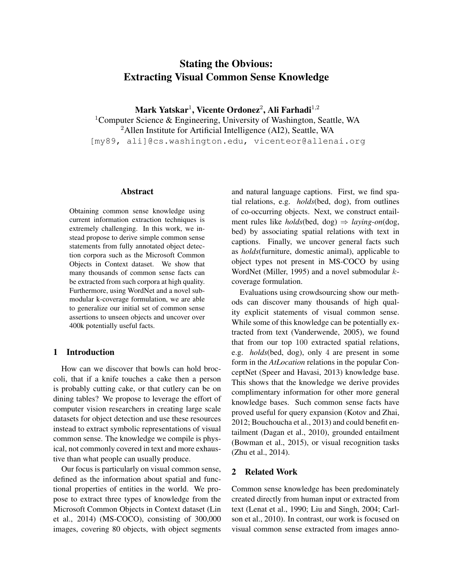# Stating the Obvious: Extracting Visual Common Sense Knowledge

Mark Yatskar $^1$ , Vicente Ordonez $^2$ , Ali Farhadi $^{1,2}$ <sup>1</sup>Computer Science & Engineering, University of Washington, Seattle, WA <sup>2</sup>Allen Institute for Artificial Intelligence (AI2), Seattle, WA [my89, ali]@cs.washington.edu, vicenteor@allenai.org

# Abstract

Obtaining common sense knowledge using current information extraction techniques is extremely challenging. In this work, we instead propose to derive simple common sense statements from fully annotated object detection corpora such as the Microsoft Common Objects in Context dataset. We show that many thousands of common sense facts can be extracted from such corpora at high quality. Furthermore, using WordNet and a novel submodular k-coverage formulation, we are able to generalize our initial set of common sense assertions to unseen objects and uncover over 400k potentially useful facts.

### 1 Introduction

How can we discover that bowls can hold broccoli, that if a knife touches a cake then a person is probably cutting cake, or that cutlery can be on dining tables? We propose to leverage the effort of computer vision researchers in creating large scale datasets for object detection and use these resources instead to extract symbolic representations of visual common sense. The knowledge we compile is physical, not commonly covered in text and more exhaustive than what people can usually produce.

Our focus is particularly on visual common sense, defined as the information about spatial and functional properties of entities in the world. We propose to extract three types of knowledge from the Microsoft Common Objects in Context dataset (Lin et al., 2014) (MS-COCO), consisting of 300,000 images, covering 80 objects, with object segments and natural language captions. First, we find spatial relations, e.g. *holds*(bed, dog), from outlines of co-occurring objects. Next, we construct entailment rules like *holds*(bed, dog)  $\Rightarrow$  *laying-on*(dog, bed) by associating spatial relations with text in captions. Finally, we uncover general facts such as *holds*(furniture, domestic animal), applicable to object types not present in MS-COCO by using WordNet (Miller, 1995) and a novel submodular  $k$ coverage formulation.

Evaluations using crowdsourcing show our methods can discover many thousands of high quality explicit statements of visual common sense. While some of this knowledge can be potentially extracted from text (Vanderwende, 2005), we found that from our top 100 extracted spatial relations, e.g. *holds*(bed, dog), only 4 are present in some form in the *AtLocation* relations in the popular ConceptNet (Speer and Havasi, 2013) knowledge base. This shows that the knowledge we derive provides complimentary information for other more general knowledge bases. Such common sense facts have proved useful for query expansion (Kotov and Zhai, 2012; Bouchoucha et al., 2013) and could benefit entailment (Dagan et al., 2010), grounded entailment (Bowman et al., 2015), or visual recognition tasks (Zhu et al., 2014).

# 2 Related Work

Common sense knowledge has been predominately created directly from human input or extracted from text (Lenat et al., 1990; Liu and Singh, 2004; Carlson et al., 2010). In contrast, our work is focused on visual common sense extracted from images anno-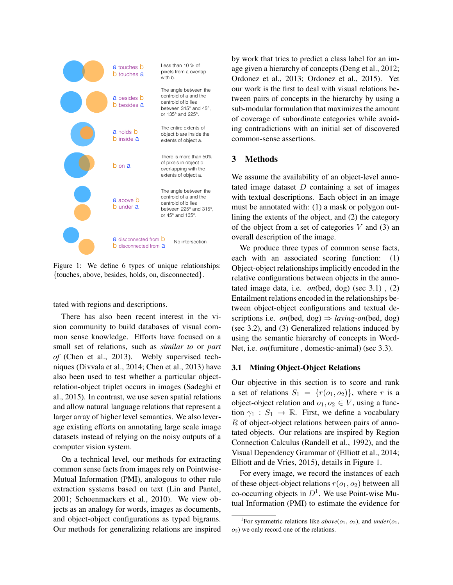

Figure 1: We define 6 types of unique relationships: {touches, above, besides, holds, on, disconnected}.

tated with regions and descriptions.

There has also been recent interest in the vision community to build databases of visual common sense knowledge. Efforts have focused on a small set of relations, such as *similar to* or *part of* (Chen et al., 2013). Webly supervised techniques (Divvala et al., 2014; Chen et al., 2013) have also been used to test whether a particular objectrelation-object triplet occurs in images (Sadeghi et al., 2015). In contrast, we use seven spatial relations and allow natural language relations that represent a larger array of higher level semantics. We also leverage existing efforts on annotating large scale image datasets instead of relying on the noisy outputs of a computer vision system.

On a technical level, our methods for extracting common sense facts from images rely on Pointwise-Mutual Information (PMI), analogous to other rule extraction systems based on text (Lin and Pantel, 2001; Schoenmackers et al., 2010). We view objects as an analogy for words, images as documents, and object-object configurations as typed bigrams. Our methods for generalizing relations are inspired by work that tries to predict a class label for an image given a hierarchy of concepts (Deng et al., 2012; Ordonez et al., 2013; Ordonez et al., 2015). Yet our work is the first to deal with visual relations between pairs of concepts in the hierarchy by using a sub-modular formulation that maximizes the amount of coverage of subordinate categories while avoiding contradictions with an initial set of discovered common-sense assertions.

### 3 Methods

We assume the availability of an object-level annotated image dataset  $D$  containing a set of images with textual descriptions. Each object in an image must be annotated with: (1) a mask or polygon outlining the extents of the object, and (2) the category of the object from a set of categories  $V$  and (3) an overall description of the image.

We produce three types of common sense facts, each with an associated scoring function: (1) Object-object relationships implicitly encoded in the relative configurations between objects in the annotated image data, i.e. *on*(bed, dog) (sec 3.1) , (2) Entailment relations encoded in the relationships between object-object configurations and textual descriptions i.e. *on*(bed, dog)  $\Rightarrow$  *laying-on*(bed, dog) (sec 3.2), and (3) Generalized relations induced by using the semantic hierarchy of concepts in Word-Net, i.e. *on*(furniture , domestic-animal) (sec 3.3).

#### 3.1 Mining Object-Object Relations

Our objective in this section is to score and rank a set of relations  $S_1 = \{r(o_1, o_2)\}\)$ , where r is a object-object relation and  $o_1, o_2 \in V$ , using a function  $\gamma_1 : S_1 \to \mathbb{R}$ . First, we define a vocabulary R of object-object relations between pairs of annotated objects. Our relations are inspired by Region Connection Calculus (Randell et al., 1992), and the Visual Dependency Grammar of (Elliott et al., 2014; Elliott and de Vries, 2015), details in Figure 1.

For every image, we record the instances of each of these object-object relations  $r(o_1, o_2)$  between all co-occurring objects in  $D^1$ . We use Point-wise Mutual Information (PMI) to estimate the evidence for

<sup>&</sup>lt;sup>1</sup>For symmetric relations like  $above(0<sub>1</sub>, 0<sub>2</sub>)$ , and  $under(0<sub>1</sub>, 0<sub>3</sub>)$  $o_2$ ) we only record one of the relations.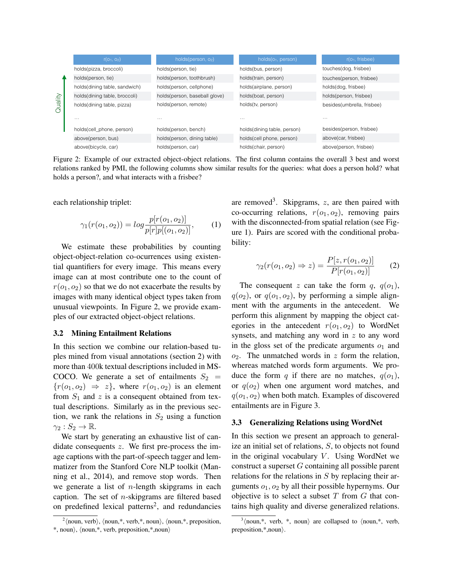|         | $r(O_1, O_2)$                 | holds(person, $o_2$ )         | holds(o <sub>1</sub> , person) | $r(O_1, frisbee)$          |
|---------|-------------------------------|-------------------------------|--------------------------------|----------------------------|
| Quality | holds(pizza, broccoli)        | holds(person, tie)            | holds(bus, person)             | touches(dog, frisbee)      |
|         | holds(person, tie)            | holds(person, toothbrush)     | holds(train, person)           | touches(person, frisbee)   |
|         | holds(dining table, sandwich) | holds(person, cellphone)      | holds(airplane, person)        | holds(dog, frisbee)        |
|         | holds(dining table, broccoli) | holds(person, baseball glove) | holds(boat, person)            | holds(person, frisbee)     |
|         | holds(dining table, pizza)    | holds(person, remote)         | holds(tv, person)              | besides(umbrella, frisbee) |
|         | $\cdots$                      | $\cdots$                      | $\cdots$                       | $\cdots$                   |
|         | holds(cell_phone, person)     | holds(person, bench)          | holds(dining table, person)    | besides(person, frisbee)   |
|         | above(person, bus)            | holds(person, dining table)   | holds(cell phone, person)      | above(car, frisbee)        |
|         | above(bicycle, car)           | holds(person, car)            | holds(chair, person)           | above(person, frisbee)     |

Figure 2: Example of our extracted object-object relations. The first column contains the overall 3 best and worst relations ranked by PMI, the following columns show similar results for the queries: what does a person hold? what holds a person?, and what interacts with a frisbee?

each relationship triplet:

$$
\gamma_1(r(o_1, o_2)) = \log \frac{p[r(o_1, o_2)]}{p[r]p[(o_1, o_2)]},\tag{1}
$$

We estimate these probabilities by counting object-object-relation co-ocurrences using existential quantifiers for every image. This means every image can at most contribute one to the count of  $r(o_1, o_2)$  so that we do not exacerbate the results by images with many identical object types taken from unusual viewpoints. In Figure 2, we provide examples of our extracted object-object relations.

### 3.2 Mining Entailment Relations

In this section we combine our relation-based tuples mined from visual annotations (section 2) with more than 400k textual descriptions included in MS-COCO. We generate a set of entailments  $S_2$  =  ${r(o_1, o_2) \Rightarrow z}$ , where  $r(o_1, o_2)$  is an element from  $S_1$  and z is a consequent obtained from textual descriptions. Similarly as in the previous section, we rank the relations in  $S_2$  using a function  $\gamma_2 : S_2 \to \mathbb{R}$ .

We start by generating an exhaustive list of candidate consequents  $z$ . We first pre-process the image captions with the part-of-speech tagger and lemmatizer from the Stanford Core NLP toolkit (Manning et al., 2014), and remove stop words. Then we generate a list of  $n$ -length skipgrams in each caption. The set of  $n$ -skipgrams are filtered based on predefined lexical patterns<sup>2</sup>, and redundancies

are removed<sup>3</sup>. Skipgrams,  $z$ , are then paired with co-occurring relations,  $r(o_1, o_2)$ , removing pairs with the disconnected-from spatial relation (see Figure 1). Pairs are scored with the conditional probability:

$$
\gamma_2(r(o_1, o_2) \Rightarrow z) = \frac{P[z, r(o_1, o_2)]}{P[r(o_1, o_2)]}
$$
 (2)

The consequent z can take the form q,  $q(o_1)$ ,  $q(o_2)$ , or  $q(o_1, o_2)$ , by performing a simple alignment with the arguments in the antecedent. We perform this alignment by mapping the object categories in the antecedent  $r(o_1, o_2)$  to WordNet synsets, and matching any word in z to any word in the gloss set of the predicate arguments  $o_1$  and  $o_2$ . The unmatched words in z form the relation, whereas matched words form arguments. We produce the form q if there are no matches,  $q(o_1)$ , or  $q(o_2)$  when one argument word matches, and  $q(o_1, o_2)$  when both match. Examples of discovered entailments are in Figure 3.

#### 3.3 Generalizing Relations using WordNet

In this section we present an approach to generalize an initial set of relations, S, to objects not found in the original vocabulary  $V$ . Using WordNet we construct a superset G containing all possible parent relations for the relations in  $S$  by replacing their arguments  $o_1$ ,  $o_2$  by all their possible hypernyms. Our objective is to select a subset  $T$  from  $G$  that contains high quality and diverse generalized relations.

 $\alpha^2$  (noun, verb), (noun,\*, verb,\*, noun), (noun,\*, preposition,  $*, \text{noun}, \langle \text{noun}, *, \text{verb}, \text{preposition}, *, \text{noun} \rangle$ 

 $3 \n\langle \text{noun}, *, \text{ verb}, *, \text{noun} \rangle$  are collapsed to  $\langle \text{noun}, *, \text{ verb}, \rangle$ preposition, $*$ , noun...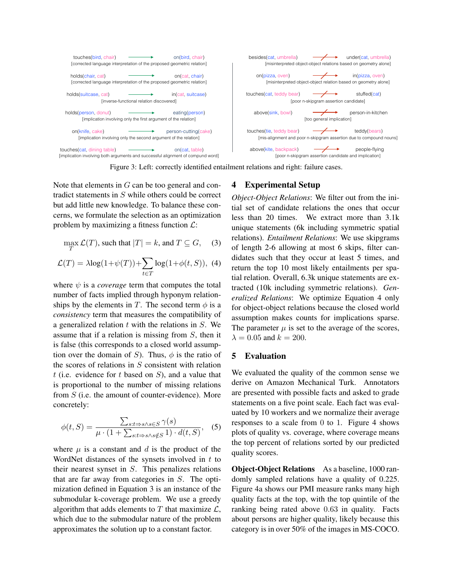

Figure 3: Left: correctly identified entailment relations and right: failure cases.

Note that elements in  $G$  can be too general and contradict statements in S while others could be correct but add little new knowledge. To balance these concerns, we formulate the selection as an optimization problem by maximizing a fitness function  $\mathcal{L}$ :

$$
\max_{T} \mathcal{L}(T)
$$
, such that  $|T| = k$ , and  $T \subseteq G$ , (3)

$$
\mathcal{L}(T) = \lambda \log(1 + \psi(T)) + \sum_{t \in T} \log(1 + \phi(t, S)), \tag{4}
$$

where  $\psi$  is a *coverage* term that computes the total number of facts implied through hyponym relationships by the elements in T. The second term  $\phi$  is a *consistency* term that measures the compatibility of a generalized relation  $t$  with the relations in  $S$ . We assume that if a relation is missing from S, then it is false (this corresponds to a closed world assumption over the domain of S). Thus,  $\phi$  is the ratio of the scores of relations in  $S$  consistent with relation t (i.e. evidence for t based on  $S$ ), and a value that is proportional to the number of missing relations from S (i.e. the amount of counter-evidence). More concretely:

$$
\phi(t,S) = \frac{\sum_{s:t \to s \land s \in S} \gamma(s)}{\mu \cdot (1 + \sum_{s:t \to s \land s \notin S} 1) \cdot d(t,S)},
$$
(5)

where  $\mu$  is a constant and d is the product of the WordNet distances of the synsets involved in  $t$  to their nearest synset in S. This penalizes relations that are far away from categories in S. The optimization defined in Equation 3 is an instance of the submodular k-coverage problem. We use a greedy algorithm that adds elements to  $T$  that maximize  $\mathcal{L}$ , which due to the submodular nature of the problem approximates the solution up to a constant factor.

# 4 Experimental Setup

*Object-Object Relations*: We filter out from the initial set of candidate relations the ones that occur less than 20 times. We extract more than 3.1k unique statements (6k including symmetric spatial relations). *Entailment Relations*: We use skipgrams of length 2-6 allowing at most 6 skips, filter candidates such that they occur at least 5 times, and return the top 10 most likely entailments per spatial relation. Overall, 6.3k unique statements are extracted (10k including symmetric relations). *Generalized Relations*: We optimize Equation 4 only for object-object relations because the closed world assumption makes counts for implications sparse. The parameter  $\mu$  is set to the average of the scores,  $\lambda = 0.05$  and  $k = 200$ .

### 5 Evaluation

We evaluated the quality of the common sense we derive on Amazon Mechanical Turk. Annotators are presented with possible facts and asked to grade statements on a five point scale. Each fact was evaluated by 10 workers and we normalize their average responses to a scale from 0 to 1. Figure 4 shows plots of quality vs. coverage, where coverage means the top percent of relations sorted by our predicted quality scores.

**Object-Object Relations** As a baseline, 1000 randomly sampled relations have a quality of 0.225. Figure 4a shows our PMI measure ranks many high quality facts at the top, with the top quintile of the ranking being rated above 0.63 in quality. Facts about persons are higher quality, likely because this category is in over 50% of the images in MS-COCO.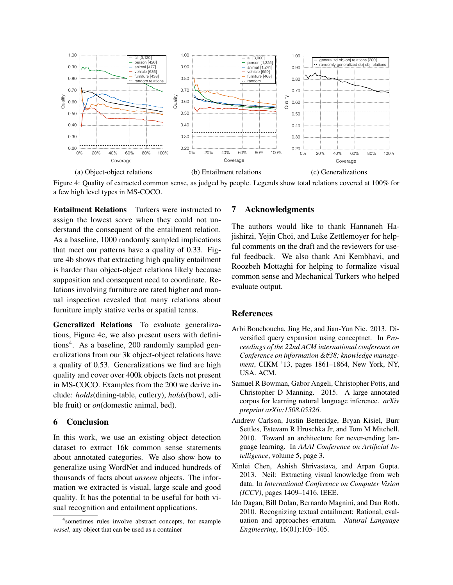

Figure 4: Quality of extracted common sense, as judged by people. Legends show total relations covered at 100% for a few high level types in MS-COCO.

Entailment Relations Turkers were instructed to assign the lowest score when they could not understand the consequent of the entailment relation. As a baseline, 1000 randomly sampled implications that meet our patterns have a quality of 0.33. Figure 4b shows that extracting high quality entailment is harder than object-object relations likely because supposition and consequent need to coordinate. Relations involving furniture are rated higher and manual inspection revealed that many relations about furniture imply stative verbs or spatial terms.

Generalized Relations To evaluate generalizations, Figure 4c, we also present users with definitions<sup>4</sup>. As a baseline, 200 randomly sampled generalizations from our 3k object-object relations have a quality of 0.53. Generalizations we find are high quality and cover over 400k objects facts not present in MS-COCO. Examples from the 200 we derive include: *holds*(dining-table, cutlery), *holds*(bowl, edible fruit) or *on*(domestic animal, bed).

# 6 Conclusion

In this work, we use an existing object detection dataset to extract 16k common sense statements about annotated categories. We also show how to generalize using WordNet and induced hundreds of thousands of facts about *unseen* objects. The information we extracted is visual, large scale and good quality. It has the potential to be useful for both visual recognition and entailment applications.

## 7 Acknowledgments

The authors would like to thank Hannaneh Hajishirzi, Yejin Choi, and Luke Zettlemoyer for helpful comments on the draft and the reviewers for useful feedback. We also thank Ani Kembhavi, and Roozbeh Mottaghi for helping to formalize visual common sense and Mechanical Turkers who helped evaluate output.

### References

- Arbi Bouchoucha, Jing He, and Jian-Yun Nie. 2013. Diversified query expansion using conceptnet. In *Proceedings of the 22nd ACM international conference on* Conference on information & knowledge manage*ment*, CIKM '13, pages 1861–1864, New York, NY, USA. ACM.
- Samuel R Bowman, Gabor Angeli, Christopher Potts, and Christopher D Manning. 2015. A large annotated corpus for learning natural language inference. *arXiv preprint arXiv:1508.05326*.
- Andrew Carlson, Justin Betteridge, Bryan Kisiel, Burr Settles, Estevam R Hruschka Jr, and Tom M Mitchell. 2010. Toward an architecture for never-ending language learning. In *AAAI Conference on Artificial Intelligence*, volume 5, page 3.
- Xinlei Chen, Ashish Shrivastava, and Arpan Gupta. 2013. Neil: Extracting visual knowledge from web data. In *International Conference on Computer Vision (ICCV)*, pages 1409–1416. IEEE.
- Ido Dagan, Bill Dolan, Bernardo Magnini, and Dan Roth. 2010. Recognizing textual entailment: Rational, evaluation and approaches–erratum. *Natural Language Engineering*, 16(01):105–105.

<sup>4</sup> sometimes rules involve abstract concepts, for example *vessel*, any object that can be used as a container